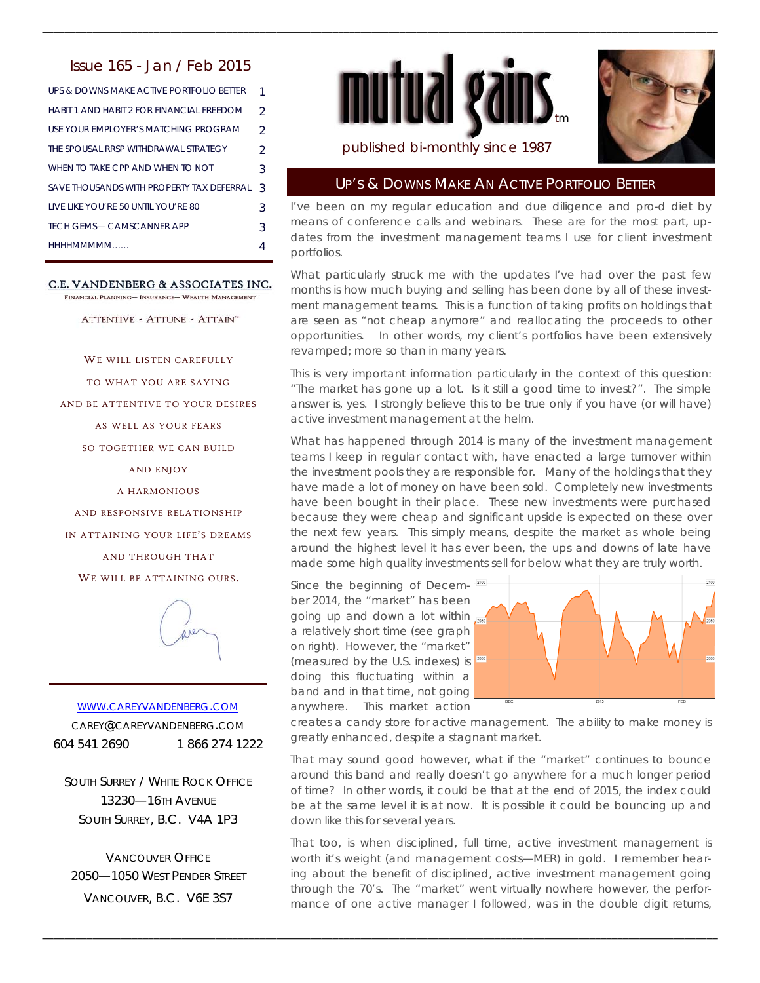# Issue 165 - Jan / Feb 2015

| UPS & DOWNS MAKE ACTIVE PORTEOLIO BETTER    |               |
|---------------------------------------------|---------------|
| HABIT 1 AND HABIT 2 FOR FINANCIAL ERFEDOM   | $\mathcal{P}$ |
| USE YOUR EMPLOYER'S MATCHING PROGRAM        | $\mathcal{D}$ |
| THE SPOUSAL RRSP WITHDRAWAL STRATEGY        | $\mathcal{L}$ |
| WHEN TO TAKE CPP AND WHEN TO NOT            | 3             |
| SAVE THOUSANDS WITH PROPERTY TAX DEFERRAL   | 3             |
| <b>I IVE LIKE YOU'RE 50 UNTIL YOU'RE 80</b> | 3             |
| <b>TECH GEMS- CAMSCANNER APP</b>            | 3             |
| HHHHMMMMM                                   |               |

#### C.E. VANDENBERG & ASSOCIATES INC.

FINANCIAL PLANNING- INSURANCE- WEALTH MANAGEMENT

ATTENTIVE - ATTUNE - ATTAIN"

WE WILL LISTEN CAREFULLY

TO WHAT YOU ARE SAYING

AND BE ATTENTIVE TO YOUR DESIRES

AS WELL AS YOUR FEARS

SO TOGETHER WE CAN BUILD

AND ENJOY

A HARMONIOUS

AND RESPONSIVE RELATIONSHIP

IN ATTAINING YOUR LIFE'S DREAMS

AND THROUGH THAT

WE WILL BE ATTAINING OURS.



WWW.CAREYVANDENBERG.COM CAREY@CAREYVANDENBERG.COM 604 541 2690 1 866 274 1222

SOUTH SURREY / WHITE ROCK OFFICE 13230—16TH AVENUE SOUTH SURREY, B.C. V4A 1P3

VANCOUVER OFFICE 2050—1050 WEST PENDER STREET VANCOUVER, B.C. V6E 3S7



\_\_\_\_\_\_\_\_\_\_\_\_\_\_\_\_\_\_\_\_\_\_\_\_\_\_\_\_\_\_\_\_\_\_\_\_\_\_\_\_\_\_\_\_\_\_\_\_\_\_\_\_\_\_\_\_\_\_\_\_\_\_\_\_\_\_\_\_\_\_\_\_\_\_\_\_\_\_\_\_\_\_\_\_\_\_\_\_\_\_\_\_\_\_\_\_\_\_\_\_\_\_\_\_\_\_\_\_\_\_\_\_\_\_\_\_\_\_\_\_\_



### published bi-monthly since 1987

#### UP'S & DOWNS MAKE AN ACTIVE PORTFOLIO BETTER

I've been on my regular education and due diligence and pro-d diet by means of conference calls and webinars. These are for the most part, updates from the investment management teams I use for client investment portfolios.

What particularly struck me with the updates I've had over the past few months is how much buying and selling has been done by all of these investment management teams. This is a function of taking profits on holdings that are seen as "not cheap anymore" and reallocating the proceeds to other opportunities. In other words, my client's portfolios have been extensively revamped; more so than in many years.

This is very important information particularly in the context of this question: "The market has gone up a lot. Is it still a good time to invest?". The simple answer is, yes. I strongly believe this to be true only if you have (or will have) active investment management at the helm.

What has happened through 2014 is many of the investment management teams I keep in regular contact with, have enacted a large turnover within the investment pools they are responsible for. Many of the holdings that they have made a lot of money on have been sold. Completely new investments have been bought in their place. These new investments were purchased because they were cheap and significant upside is expected on these over the next few years. This simply means, despite the market as whole being around the highest level it has ever been, the ups and downs of late have made some high quality investments sell for below what they are truly worth.

Since the beginning of December 2014, the "market" has been going up and down a lot within a relatively short time (see graph on right). However, the "market" (measured by the U.S. indexes) is doing this fluctuating within a band and in that time, not going anywhere. This market action

\_\_\_\_\_\_\_\_\_\_\_\_\_\_\_\_\_\_\_\_\_\_\_\_\_\_\_\_\_\_\_\_\_\_\_\_\_\_\_\_\_\_\_\_\_\_\_\_\_\_\_\_\_\_\_\_\_\_\_\_\_\_\_\_\_\_\_\_\_\_\_\_\_\_\_\_\_\_\_\_\_\_\_\_\_\_\_\_\_\_\_\_\_\_\_\_\_\_\_\_\_\_\_\_\_\_\_\_\_\_\_\_\_\_\_\_\_\_\_\_\_



creates a candy store for active management. The ability to make money is greatly enhanced, despite a stagnant market.

That may sound good however, what if the "market" continues to bounce around this band and really doesn't go anywhere for a much longer period of time? In other words, it could be that at the end of 2015, the index could be at the same level it is at now. It is possible it could be bouncing up and down like this for several years.

That too, is when disciplined, full time, active investment management is worth it's weight (and management costs—MER) in gold. I remember hearing about the benefit of disciplined, active investment management going through the 70's. The "market" went virtually nowhere however, the performance of one active manager I followed, was in the double digit returns,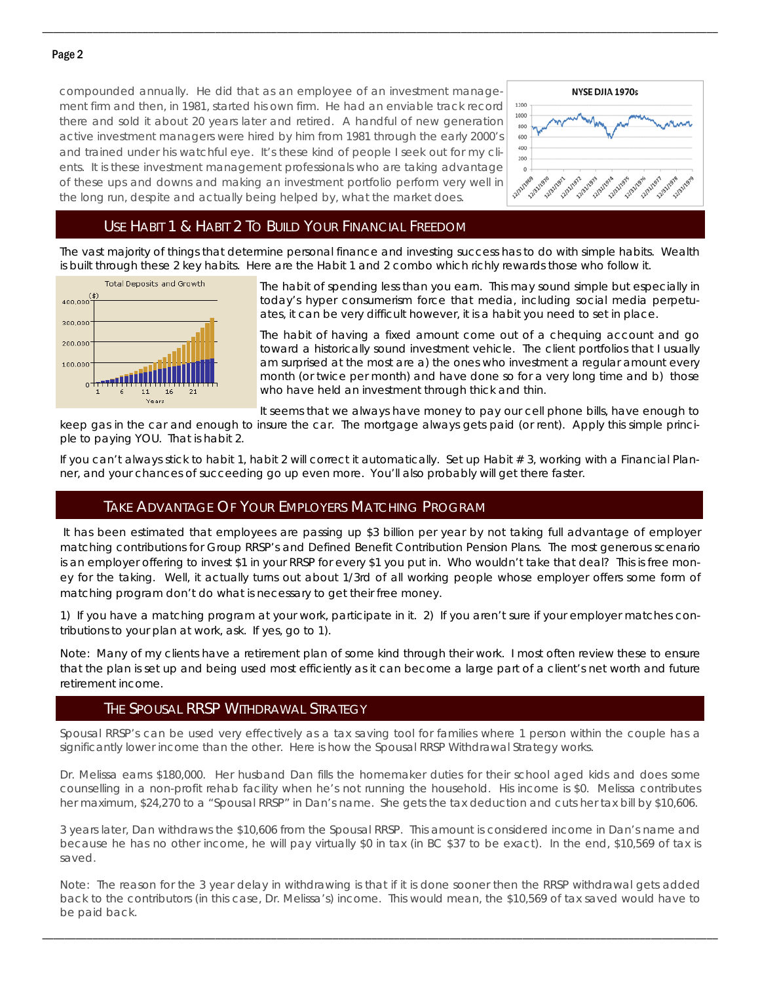#### Page 2

compounded annually. He did that as an employee of an investment management firm and then, in 1981, started his own firm. He had an enviable track record there and sold it about 20 years later and retired. A handful of new generation active investment managers were hired by him from 1981 through the early 2000's and trained under his watchful eye. It's these kind of people I seek out for my clients. It is these investment management professionals who are taking advantage of these ups and downs and making an investment portfolio perform very well in the long run, despite and actually being helped by, what the market does.



## USE HABIT 1 & HABIT 2 TO BUILD YOUR FINANCIAL FREEDOM

The vast majority of things that determine personal finance and investing success has to do with simple habits. Wealth is built through these 2 key habits. Here are the Habit 1 and 2 combo which richly rewards those who follow it.

\_\_\_\_\_\_\_\_\_\_\_\_\_\_\_\_\_\_\_\_\_\_\_\_\_\_\_\_\_\_\_\_\_\_\_\_\_\_\_\_\_\_\_\_\_\_\_\_\_\_\_\_\_\_\_\_\_\_\_\_\_\_\_\_\_\_\_\_\_\_\_\_\_\_\_\_\_\_\_\_\_\_\_\_\_\_\_\_\_\_\_\_\_\_\_\_\_\_\_\_\_\_\_\_\_\_\_\_\_\_\_\_\_\_\_\_\_\_\_\_\_



The habit of spending less than you earn. This may sound simple but especially in today's hyper consumerism force that media, including social media perpetuates, it can be very difficult however, it is a habit you need to set in place.

The habit of having a fixed amount come out of a chequing account and go toward a historically sound investment vehicle. The client portfolios that I usually am surprised at the most are a) the ones who investment a regular amount every month (or twice per month) and have done so for a very long time and b) those who have held an investment through thick and thin.

It seems that we always have money to pay our cell phone bills, have enough to

keep gas in the car and enough to insure the car. The mortgage always gets paid (or rent). Apply this simple principle to paying YOU. That is habit 2.

If you can't always stick to habit 1, habit 2 will correct it automatically. Set up Habit  $# 3$ , working with a Financial Planner, and your chances of succeeding go up even more. You'll also probably will get there faster.

# TAKE ADVANTAGE OF YOUR EMPLOYERS MATCHING PROGRAM

 It has been estimated that employees are passing up \$3 billion per year by not taking full advantage of employer matching contributions for Group RRSP's and Defined Benefit Contribution Pension Plans. The most generous scenario is an employer offering to invest \$1 in your RRSP for every \$1 you put in. Who wouldn't take that deal? This is free money for the taking. Well, it actually turns out about 1/3rd of all working people whose employer offers some form of matching program don't do what is necessary to get their free money.

1) If you have a matching program at your work, participate in it. 2) If you aren't sure if your employer matches contributions to your plan at work, ask. If yes, go to 1).

Note: Many of my clients have a retirement plan of some kind through their work. I most often review these to ensure that the plan is set up and being used most efficiently as it can become a large part of a client's net worth and future retirement income.

### THE SPOUSAL RRSP WITHDRAWAL STRATEGY

Spousal RRSP's can be used very effectively as a tax saving tool for families where 1 person within the couple has a significantly lower income than the other. Here is how the Spousal RRSP Withdrawal Strategy works.

Dr. Melissa earns \$180,000. Her husband Dan fills the homemaker duties for their school aged kids and does some counselling in a non-profit rehab facility when he's not running the household. His income is \$0. Melissa contributes her maximum, \$24,270 to a "Spousal RRSP" in Dan's name. She gets the tax deduction and cuts her tax bill by \$10,606.

3 years later, Dan withdraws the \$10,606 from the Spousal RRSP. This amount is considered income in Dan's name and because he has no other income, he will pay virtually \$0 in tax (in BC \$37 to be exact). In the end, \$10,569 of tax is saved.

Note: The reason for the 3 year delay in withdrawing is that if it is done sooner then the RRSP withdrawal gets added back to the contributors (in this case, Dr. Melissa's) income. This would mean, the \$10,569 of tax saved would have to be paid back.

\_\_\_\_\_\_\_\_\_\_\_\_\_\_\_\_\_\_\_\_\_\_\_\_\_\_\_\_\_\_\_\_\_\_\_\_\_\_\_\_\_\_\_\_\_\_\_\_\_\_\_\_\_\_\_\_\_\_\_\_\_\_\_\_\_\_\_\_\_\_\_\_\_\_\_\_\_\_\_\_\_\_\_\_\_\_\_\_\_\_\_\_\_\_\_\_\_\_\_\_\_\_\_\_\_\_\_\_\_\_\_\_\_\_\_\_\_\_\_\_\_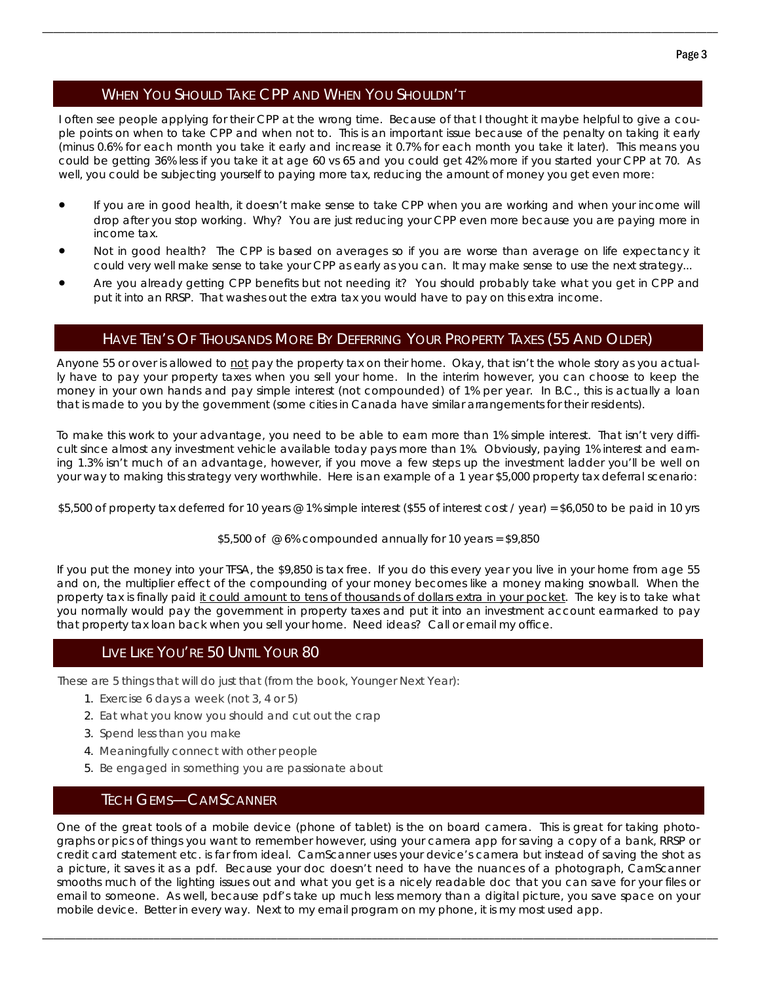# WHEN YOU SHOULD TAKE CPP AND WHEN YOU SHOULDN'T

I often see people applying for their CPP at the wrong time. Because of that I thought it maybe helpful to give a couple points on when to take CPP and when not to. This is an important issue because of the penalty on taking it early (minus 0.6% for each month you take it early and increase it 0.7% for each month you take it later). This means you could be getting 36% less if you take it at age 60 vs 65 and you could get 42% more if you started your CPP at 70. As well, you could be subjecting yourself to paying more tax, reducing the amount of money you get even more:

\_\_\_\_\_\_\_\_\_\_\_\_\_\_\_\_\_\_\_\_\_\_\_\_\_\_\_\_\_\_\_\_\_\_\_\_\_\_\_\_\_\_\_\_\_\_\_\_\_\_\_\_\_\_\_\_\_\_\_\_\_\_\_\_\_\_\_\_\_\_\_\_\_\_\_\_\_\_\_\_\_\_\_\_\_\_\_\_\_\_\_\_\_\_\_\_\_\_\_\_\_\_\_\_\_\_\_\_\_\_\_\_\_\_\_\_\_\_\_\_\_

- If you are in good health, it doesn't make sense to take CPP when you are working and when your income will drop after you stop working. Why? You are just reducing your CPP even more because you are paying more in income tax.
- Not in good health? The CPP is based on averages so if you are worse than average on life expectancy it could very well make sense to take your CPP as early as you can. It may make sense to use the next strategy...
- Are you already getting CPP benefits but not needing it? You should probably take what you get in CPP and put it into an RRSP. That washes out the extra tax you would have to pay on this extra income.

## HAVE TEN'S OF THOUSANDS MORE BY DEFERRING YOUR PROPERTY TAXES (55 AND OLDER)

Anyone 55 or over is allowed to not pay the property tax on their home. Okay, that isn't the whole story as you actually have to pay your property taxes when you sell your home. In the interim however, you can choose to keep the money in your own hands and pay simple interest (not compounded) of 1% per year. In B.C., this is actually a loan that is made to you by the government (some cities in Canada have similar arrangements for their residents).

To make this work to your advantage, you need to be able to earn more than 1% simple interest. That isn't very difficult since almost any investment vehicle available today pays more than 1%. Obviously, paying 1% interest and earning 1.3% isn't much of an advantage, however, if you move a few steps up the investment ladder you'll be well on your way to making this strategy very worthwhile. Here is an example of a 1 year \$5,000 property tax deferral scenario:

\$5,500 of property tax deferred for 10 years @ 1% simple interest (\$55 of interest cost / year) = \$6,050 to be paid in 10 yrs

#### \$5,500 of  $@6%$  compounded annually for 10 years = \$9,850

If you put the money into your TFSA, the \$9,850 is tax free. If you do this every year you live in your home from age 55 and on, the multiplier effect of the compounding of your money becomes like a money making snowball. When the property tax is finally paid it could amount to tens of thousands of dollars extra in your pocket. The key is to take what you normally would pay the government in property taxes and put it into an investment account earmarked to pay that property tax loan back when you sell your home. Need ideas? Call or email my office.

### LIVE LIKE YOU'RE 50 UNTIL YOUR 80

These are 5 things that will do just that (from the book, Younger Next Year):

- 1. Exercise 6 days a week (not 3, 4 or 5)
- 2. Eat what you know you should and cut out the crap
- 3. Spend less than you make
- 4. Meaningfully connect with other people
- 5. Be engaged in something you are passionate about

### TECH GEMS—CAMSCANNER

One of the great tools of a mobile device (phone of tablet) is the on board camera. This is great for taking photographs or pics of things you want to remember however, using your camera app for saving a copy of a bank, RRSP or credit card statement etc. is far from ideal. CamScanner uses your device's camera but instead of saving the shot as a picture, it saves it as a pdf. Because your doc doesn't need to have the nuances of a photograph, CamScanner smooths much of the lighting issues out and what you get is a nicely readable doc that you can save for your files or email to someone. As well, because pdf's take up much less memory than a digital picture, you save space on your mobile device. Better in every way. Next to my email program on my phone, it is my most used app.

\_\_\_\_\_\_\_\_\_\_\_\_\_\_\_\_\_\_\_\_\_\_\_\_\_\_\_\_\_\_\_\_\_\_\_\_\_\_\_\_\_\_\_\_\_\_\_\_\_\_\_\_\_\_\_\_\_\_\_\_\_\_\_\_\_\_\_\_\_\_\_\_\_\_\_\_\_\_\_\_\_\_\_\_\_\_\_\_\_\_\_\_\_\_\_\_\_\_\_\_\_\_\_\_\_\_\_\_\_\_\_\_\_\_\_\_\_\_\_\_\_